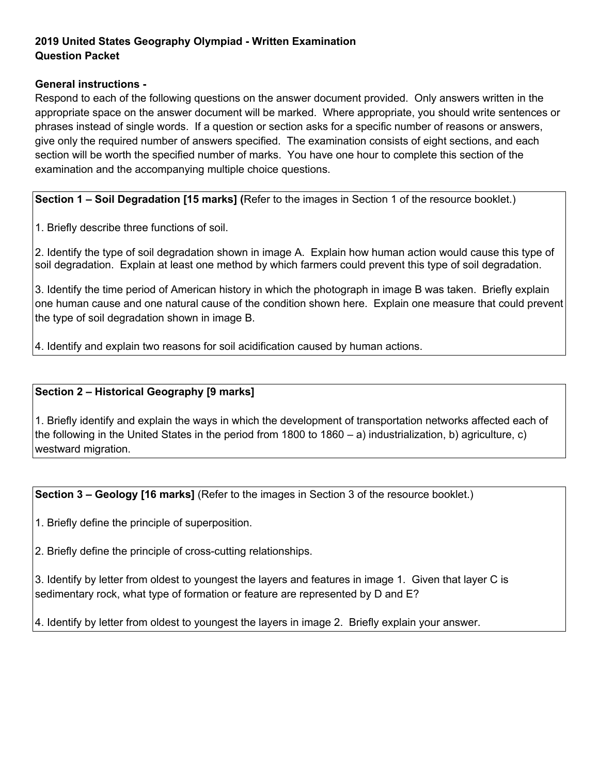## **2019 United States Geography Olympiad - Written Examination Question Packet**

## **General instructions -**

Respond to each of the following questions on the answer document provided. Only answers written in the appropriate space on the answer document will be marked. Where appropriate, you should write sentences or phrases instead of single words. If a question or section asks for a specific number of reasons or answers, give only the required number of answers specified. The examination consists of eight sections, and each section will be worth the specified number of marks. You have one hour to complete this section of the examination and the accompanying multiple choice questions.

**Section 1 – Soil Degradation [15 marks] (**Refer to the images in Section 1 of the resource booklet.)

1. Briefly describe three functions of soil.

2. Identify the type of soil degradation shown in image A. Explain how human action would cause this type of soil degradation. Explain at least one method by which farmers could prevent this type of soil degradation.

3. Identify the time period of American history in which the photograph in image B was taken. Briefly explain one human cause and one natural cause of the condition shown here. Explain one measure that could prevent the type of soil degradation shown in image B.

4. Identify and explain two reasons for soil acidification caused by human actions.

## **Section 2 – Historical Geography [9 marks]**

1. Briefly identify and explain the ways in which the development of transportation networks affected each of the following in the United States in the period from 1800 to 1860 – a) industrialization, b) agriculture, c) westward migration.

**Section 3 – Geology [16 marks]** (Refer to the images in Section 3 of the resource booklet.)

1. Briefly define the principle of superposition.

2. Briefly define the principle of cross-cutting relationships.

3. Identify by letter from oldest to youngest the layers and features in image 1. Given that layer C is sedimentary rock, what type of formation or feature are represented by D and E?

4. Identify by letter from oldest to youngest the layers in image 2. Briefly explain your answer.